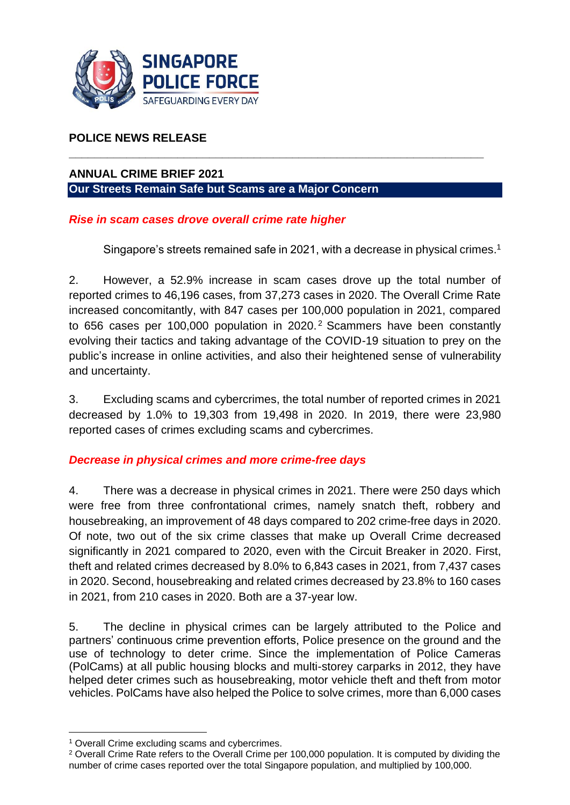

## **POLICE NEWS RELEASE**

## **ANNUAL CRIME BRIEF 2021 Our Streets Remain Safe but Scams are a Major Concern**

#### *Rise in scam cases drove overall crime rate higher*

Singapore's streets remained safe in 2021, with a decrease in physical crimes. 1

2. However, a 52.9% increase in scam cases drove up the total number of reported crimes to 46,196 cases, from 37,273 cases in 2020. The Overall Crime Rate increased concomitantly, with 847 cases per 100,000 population in 2021, compared to 656 cases per 100,000 population in 2020.<sup>2</sup> Scammers have been constantly evolving their tactics and taking advantage of the COVID-19 situation to prey on the public's increase in online activities, and also their heightened sense of vulnerability and uncertainty.

**\_\_\_\_\_\_\_\_\_\_\_\_\_\_\_\_\_\_\_\_\_\_\_\_\_\_\_\_\_\_\_\_\_\_\_\_\_\_\_\_\_\_\_\_\_\_\_\_\_\_\_\_\_\_\_\_\_\_\_\_\_\_\_\_\_** 

3. Excluding scams and cybercrimes, the total number of reported crimes in 2021 decreased by 1.0% to 19,303 from 19,498 in 2020. In 2019, there were 23,980 reported cases of crimes excluding scams and cybercrimes.

#### *Decrease in physical crimes and more crime-free days*

4. There was a decrease in physical crimes in 2021. There were 250 days which were free from three confrontational crimes, namely snatch theft, robbery and housebreaking, an improvement of 48 days compared to 202 crime-free days in 2020. Of note, two out of the six crime classes that make up Overall Crime decreased significantly in 2021 compared to 2020, even with the Circuit Breaker in 2020. First, theft and related crimes decreased by 8.0% to 6,843 cases in 2021, from 7,437 cases in 2020. Second, housebreaking and related crimes decreased by 23.8% to 160 cases in 2021, from 210 cases in 2020. Both are a 37-year low.

5. The decline in physical crimes can be largely attributed to the Police and partners' continuous crime prevention efforts, Police presence on the ground and the use of technology to deter crime. Since the implementation of Police Cameras (PolCams) at all public housing blocks and multi-storey carparks in 2012, they have helped deter crimes such as housebreaking, motor vehicle theft and theft from motor vehicles. PolCams have also helped the Police to solve crimes, more than 6,000 cases

<sup>1</sup> Overall Crime excluding scams and cybercrimes.

<sup>&</sup>lt;sup>2</sup> Overall Crime Rate refers to the Overall Crime per 100,000 population. It is computed by dividing the number of crime cases reported over the total Singapore population, and multiplied by 100,000.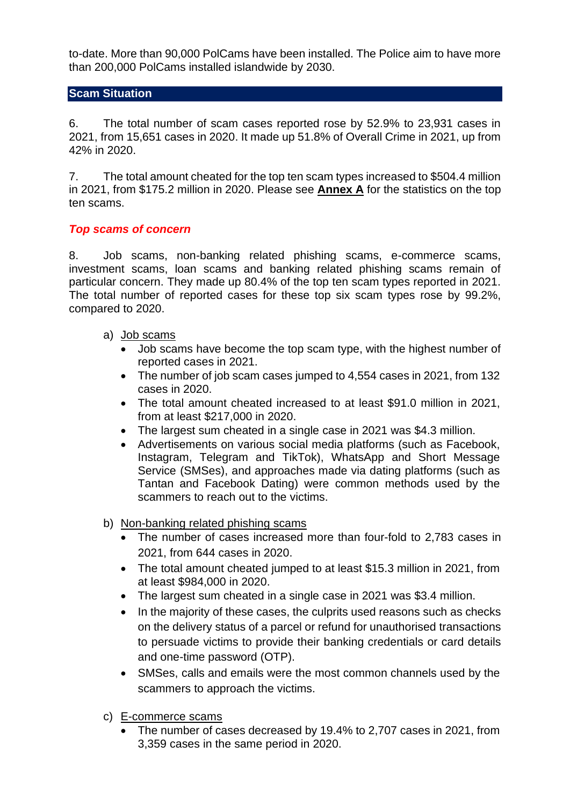to-date. More than 90,000 PolCams have been installed. The Police aim to have more than 200,000 PolCams installed islandwide by 2030.

#### **Scam Situation**

6. The total number of scam cases reported rose by 52.9% to 23,931 cases in 2021, from 15,651 cases in 2020. It made up 51.8% of Overall Crime in 2021, up from 42% in 2020.

7. The total amount cheated for the top ten scam types increased to \$504.4 million in 2021, from \$175.2 million in 2020. Please see **Annex A** for the statistics on the top ten scams.

#### *Top scams of concern*

8. Job scams, non-banking related phishing scams, e-commerce scams, investment scams, loan scams and banking related phishing scams remain of particular concern. They made up 80.4% of the top ten scam types reported in 2021. The total number of reported cases for these top six scam types rose by 99.2%, compared to 2020.

- a) Job scams
	- Job scams have become the top scam type, with the highest number of reported cases in 2021.
	- The number of job scam cases jumped to 4,554 cases in 2021, from 132 cases in 2020.
	- The total amount cheated increased to at least \$91.0 million in 2021, from at least \$217,000 in 2020.
	- The largest sum cheated in a single case in 2021 was \$4.3 million.
	- Advertisements on various social media platforms (such as Facebook, Instagram, Telegram and TikTok), WhatsApp and Short Message Service (SMSes), and approaches made via dating platforms (such as Tantan and Facebook Dating) were common methods used by the scammers to reach out to the victims.
- b) Non-banking related phishing scams
	- The number of cases increased more than four-fold to 2,783 cases in 2021, from 644 cases in 2020.
	- The total amount cheated jumped to at least \$15.3 million in 2021, from at least \$984,000 in 2020.
	- The largest sum cheated in a single case in 2021 was \$3.4 million.
	- In the majority of these cases, the culprits used reasons such as checks on the delivery status of a parcel or refund for unauthorised transactions to persuade victims to provide their banking credentials or card details and one-time password (OTP).
	- SMSes, calls and emails were the most common channels used by the scammers to approach the victims.
- c) E-commerce scams
	- The number of cases decreased by 19.4% to 2,707 cases in 2021, from 3,359 cases in the same period in 2020.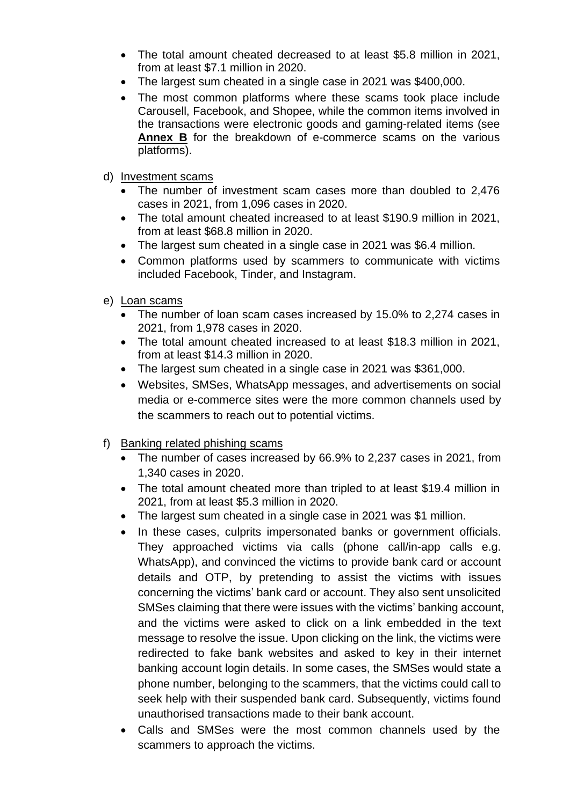- The total amount cheated decreased to at least \$5.8 million in 2021, from at least \$7.1 million in 2020.
- The largest sum cheated in a single case in 2021 was \$400,000.
- The most common platforms where these scams took place include Carousell, Facebook, and Shopee, while the common items involved in the transactions were electronic goods and gaming-related items (see **Annex B** for the breakdown of e-commerce scams on the various platforms).

#### d) Investment scams

- The number of investment scam cases more than doubled to 2,476 cases in 2021, from 1,096 cases in 2020.
- The total amount cheated increased to at least \$190.9 million in 2021, from at least \$68.8 million in 2020.
- The largest sum cheated in a single case in 2021 was \$6.4 million.
- Common platforms used by scammers to communicate with victims included Facebook, Tinder, and Instagram.
- e) Loan scams
	- The number of loan scam cases increased by 15.0% to 2,274 cases in 2021, from 1,978 cases in 2020.
	- The total amount cheated increased to at least \$18.3 million in 2021, from at least \$14.3 million in 2020.
	- The largest sum cheated in a single case in 2021 was \$361,000.
	- Websites, SMSes, WhatsApp messages, and advertisements on social media or e-commerce sites were the more common channels used by the scammers to reach out to potential victims.
- f) Banking related phishing scams
	- The number of cases increased by 66.9% to 2,237 cases in 2021, from 1,340 cases in 2020.
	- The total amount cheated more than tripled to at least \$19.4 million in 2021, from at least \$5.3 million in 2020.
	- The largest sum cheated in a single case in 2021 was \$1 million.
	- In these cases, culprits impersonated banks or government officials. They approached victims via calls (phone call/in-app calls e.g. WhatsApp), and convinced the victims to provide bank card or account details and OTP, by pretending to assist the victims with issues concerning the victims' bank card or account. They also sent unsolicited SMSes claiming that there were issues with the victims' banking account, and the victims were asked to click on a link embedded in the text message to resolve the issue. Upon clicking on the link, the victims were redirected to fake bank websites and asked to key in their internet banking account login details. In some cases, the SMSes would state a phone number, belonging to the scammers, that the victims could call to seek help with their suspended bank card. Subsequently, victims found unauthorised transactions made to their bank account.
	- Calls and SMSes were the most common channels used by the scammers to approach the victims.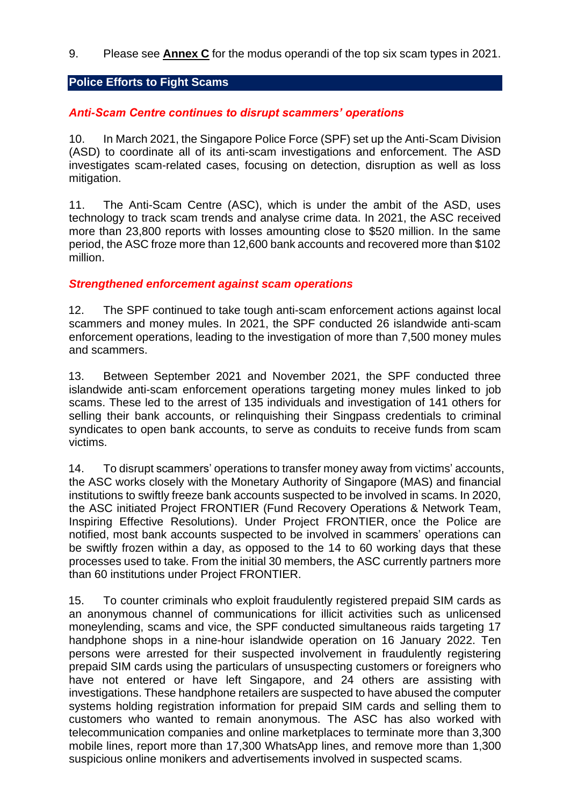9. Please see **Annex C** for the modus operandi of the top six scam types in 2021.

#### **Police Efforts to Fight Scams**

#### *Anti-Scam Centre continues to disrupt scammers' operations*

10. In March 2021, the Singapore Police Force (SPF) set up the Anti-Scam Division (ASD) to coordinate all of its anti-scam investigations and enforcement. The ASD investigates scam-related cases, focusing on detection, disruption as well as loss mitigation.

11. The Anti-Scam Centre (ASC), which is under the ambit of the ASD, uses technology to track scam trends and analyse crime data. In 2021, the ASC received more than 23,800 reports with losses amounting close to \$520 million. In the same period, the ASC froze more than 12,600 bank accounts and recovered more than \$102 million.

#### *Strengthened enforcement against scam operations*

12. The SPF continued to take tough anti-scam enforcement actions against local scammers and money mules. In 2021, the SPF conducted 26 islandwide anti-scam enforcement operations, leading to the investigation of more than 7,500 money mules and scammers.

13. Between September 2021 and November 2021, the SPF conducted three islandwide anti-scam enforcement operations targeting money mules linked to job scams. These led to the arrest of 135 individuals and investigation of 141 others for selling their bank accounts, or relinquishing their Singpass credentials to criminal syndicates to open bank accounts, to serve as conduits to receive funds from scam victims.

14. To disrupt scammers' operations to transfer money away from victims' accounts, the ASC works closely with the Monetary Authority of Singapore (MAS) and financial institutions to swiftly freeze bank accounts suspected to be involved in scams. In 2020, the ASC initiated Project FRONTIER (Fund Recovery Operations & Network Team, Inspiring Effective Resolutions). Under Project FRONTIER, once the Police are notified, most bank accounts suspected to be involved in scammers' operations can be swiftly frozen within a day, as opposed to the 14 to 60 working days that these processes used to take. From the initial 30 members, the ASC currently partners more than 60 institutions under Project FRONTIER.

15. To counter criminals who exploit fraudulently registered prepaid SIM cards as an anonymous channel of communications for illicit activities such as unlicensed moneylending, scams and vice, the SPF conducted simultaneous raids targeting 17 handphone shops in a nine-hour islandwide operation on 16 January 2022. Ten persons were arrested for their suspected involvement in fraudulently registering prepaid SIM cards using the particulars of unsuspecting customers or foreigners who have not entered or have left Singapore, and 24 others are assisting with investigations. These handphone retailers are suspected to have abused the computer systems holding registration information for prepaid SIM cards and selling them to customers who wanted to remain anonymous. The ASC has also worked with telecommunication companies and online marketplaces to terminate more than 3,300 mobile lines, report more than 17,300 WhatsApp lines, and remove more than 1,300 suspicious online monikers and advertisements involved in suspected scams.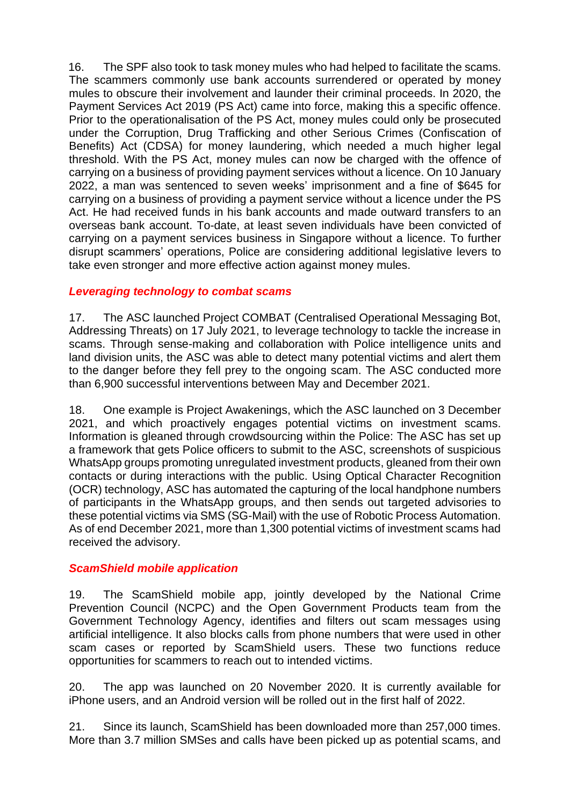16. The SPF also took to task money mules who had helped to facilitate the scams. The scammers commonly use bank accounts surrendered or operated by money mules to obscure their involvement and launder their criminal proceeds. In 2020, the Payment Services Act 2019 (PS Act) came into force, making this a specific offence. Prior to the operationalisation of the PS Act, money mules could only be prosecuted under the Corruption, Drug Trafficking and other Serious Crimes (Confiscation of Benefits) Act (CDSA) for money laundering, which needed a much higher legal threshold. With the PS Act, money mules can now be charged with the offence of carrying on a business of providing payment services without a licence. On 10 January 2022, a man was sentenced to seven weeks' imprisonment and a fine of \$645 for carrying on a business of providing a payment service without a licence under the PS Act. He had received funds in his bank accounts and made outward transfers to an overseas bank account. To-date, at least seven individuals have been convicted of carrying on a payment services business in Singapore without a licence. To further disrupt scammers' operations, Police are considering additional legislative levers to take even stronger and more effective action against money mules.

#### *Leveraging technology to combat scams*

17. The ASC launched Project COMBAT (Centralised Operational Messaging Bot, Addressing Threats) on 17 July 2021, to leverage technology to tackle the increase in scams. Through sense-making and collaboration with Police intelligence units and land division units, the ASC was able to detect many potential victims and alert them to the danger before they fell prey to the ongoing scam. The ASC conducted more than 6,900 successful interventions between May and December 2021.

18. One example is Project Awakenings, which the ASC launched on 3 December 2021, and which proactively engages potential victims on investment scams. Information is gleaned through crowdsourcing within the Police: The ASC has set up a framework that gets Police officers to submit to the ASC, screenshots of suspicious WhatsApp groups promoting unregulated investment products, gleaned from their own contacts or during interactions with the public. Using Optical Character Recognition (OCR) technology, ASC has automated the capturing of the local handphone numbers of participants in the WhatsApp groups, and then sends out targeted advisories to these potential victims via SMS (SG-Mail) with the use of Robotic Process Automation. As of end December 2021, more than 1,300 potential victims of investment scams had received the advisory.

#### *ScamShield mobile application*

19. The ScamShield mobile app, jointly developed by the National Crime Prevention Council (NCPC) and the Open Government Products team from the Government Technology Agency, identifies and filters out scam messages using artificial intelligence. It also blocks calls from phone numbers that were used in other scam cases or reported by ScamShield users. These two functions reduce opportunities for scammers to reach out to intended victims.

20. The app was launched on 20 November 2020. It is currently available for iPhone users, and an Android version will be rolled out in the first half of 2022.

21. Since its launch, ScamShield has been downloaded more than 257,000 times. More than 3.7 million SMSes and calls have been picked up as potential scams, and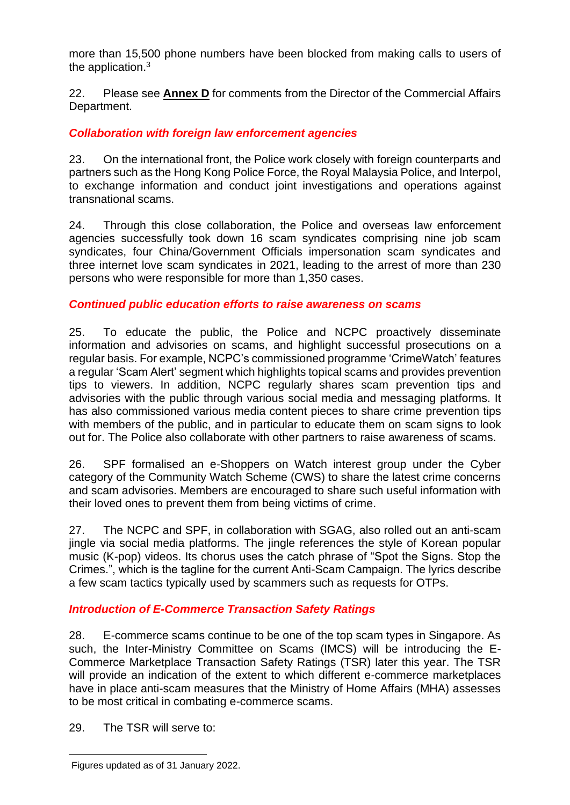more than 15,500 phone numbers have been blocked from making calls to users of the application.<sup>3</sup>

22. Please see **Annex D** for comments from the Director of the Commercial Affairs Department.

## *Collaboration with foreign law enforcement agencies*

23. On the international front, the Police work closely with foreign counterparts and partners such as the Hong Kong Police Force, the Royal Malaysia Police, and Interpol, to exchange information and conduct joint investigations and operations against transnational scams.

24. Through this close collaboration, the Police and overseas law enforcement agencies successfully took down 16 scam syndicates comprising nine job scam syndicates, four China/Government Officials impersonation scam syndicates and three internet love scam syndicates in 2021, leading to the arrest of more than 230 persons who were responsible for more than 1,350 cases.

#### *Continued public education efforts to raise awareness on scams*

25. To educate the public, the Police and NCPC proactively disseminate information and advisories on scams, and highlight successful prosecutions on a regular basis. For example, NCPC's commissioned programme 'CrimeWatch' features a regular 'Scam Alert' segment which highlights topical scams and provides prevention tips to viewers. In addition, NCPC regularly shares scam prevention tips and advisories with the public through various social media and messaging platforms. It has also commissioned various media content pieces to share crime prevention tips with members of the public, and in particular to educate them on scam signs to look out for. The Police also collaborate with other partners to raise awareness of scams.

26. SPF formalised an e-Shoppers on Watch interest group under the Cyber category of the Community Watch Scheme (CWS) to share the latest crime concerns and scam advisories. Members are encouraged to share such useful information with their loved ones to prevent them from being victims of crime.

27. The NCPC and SPF, in collaboration with SGAG, also rolled out an anti-scam jingle via social media platforms. The jingle references the style of Korean popular music (K-pop) videos. Its chorus uses the catch phrase of "Spot the Signs. Stop the Crimes.", which is the tagline for the current Anti-Scam Campaign. The lyrics describe a few scam tactics typically used by scammers such as requests for OTPs.

#### *Introduction of E-Commerce Transaction Safety Ratings*

28. E-commerce scams continue to be one of the top scam types in Singapore. As such, the Inter-Ministry Committee on Scams (IMCS) will be introducing the E-Commerce Marketplace Transaction Safety Ratings (TSR) later this year. The TSR will provide an indication of the extent to which different e-commerce marketplaces have in place anti-scam measures that the Ministry of Home Affairs (MHA) assesses to be most critical in combating e-commerce scams.

29. The TSR will serve to:

Figures updated as of 31 January 2022.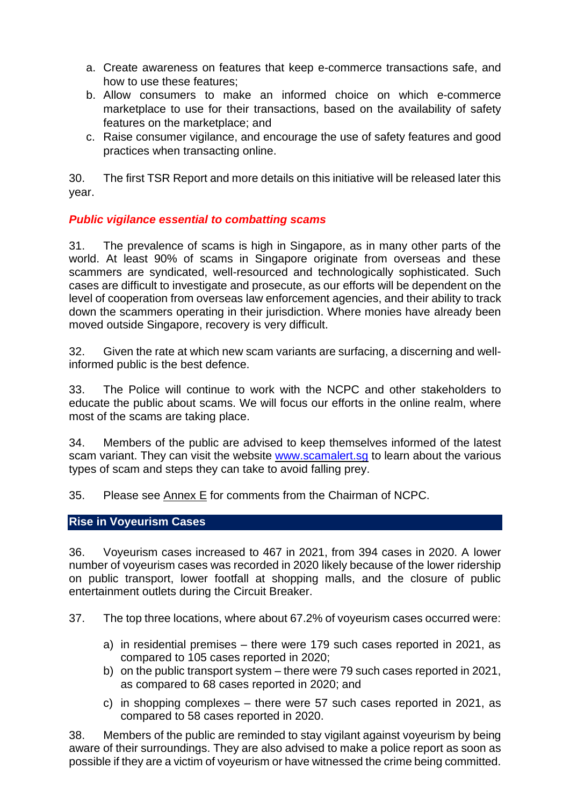- a. Create awareness on features that keep e-commerce transactions safe, and how to use these features;
- b. Allow consumers to make an informed choice on which e-commerce marketplace to use for their transactions, based on the availability of safety features on the marketplace; and
- c. Raise consumer vigilance, and encourage the use of safety features and good practices when transacting online.

30. The first TSR Report and more details on this initiative will be released later this year.

#### *Public vigilance essential to combatting scams*

31. The prevalence of scams is high in Singapore, as in many other parts of the world. At least 90% of scams in Singapore originate from overseas and these scammers are syndicated, well-resourced and technologically sophisticated. Such cases are difficult to investigate and prosecute, as our efforts will be dependent on the level of cooperation from overseas law enforcement agencies, and their ability to track down the scammers operating in their jurisdiction. Where monies have already been moved outside Singapore, recovery is very difficult.

32. Given the rate at which new scam variants are surfacing, a discerning and wellinformed public is the best defence.

33. The Police will continue to work with the NCPC and other stakeholders to educate the public about scams. We will focus our efforts in the online realm, where most of the scams are taking place.

34. Members of the public are advised to keep themselves informed of the latest scam variant. They can visit the website www.scamalert.sg to learn about the various types of scam and steps they can take to avoid falling prey.

35. Please see  $\frac{\text{Annext}}{\text{E}}$  for comments from the Chairman of NCPC.

#### **Rise in Voyeurism Cases**

36. Voyeurism cases increased to 467 in 2021, from 394 cases in 2020. A lower number of voyeurism cases was recorded in 2020 likely because of the lower ridership on public transport, lower footfall at shopping malls, and the closure of public entertainment outlets during the Circuit Breaker.

37. The top three locations, where about 67.2% of voyeurism cases occurred were:

- a) in residential premises there were 179 such cases reported in 2021, as compared to 105 cases reported in 2020;
- b) on the public transport system there were 79 such cases reported in 2021, as compared to 68 cases reported in 2020; and
- c) in shopping complexes there were 57 such cases reported in 2021, as compared to 58 cases reported in 2020.

38. Members of the public are reminded to stay vigilant against voyeurism by being aware of their surroundings. They are also advised to make a police report as soon as possible if they are a victim of voyeurism or have witnessed the crime being committed.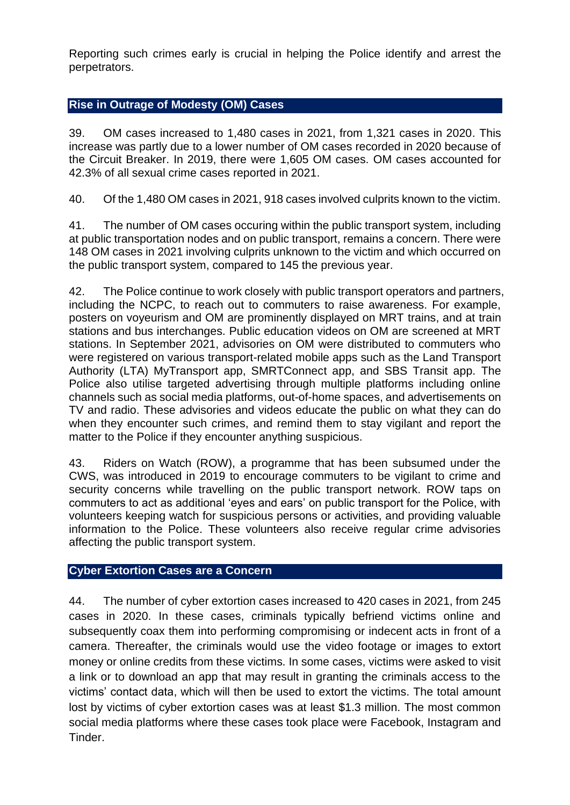Reporting such crimes early is crucial in helping the Police identify and arrest the perpetrators.

#### **Rise in Outrage of Modesty (OM) Cases**

39. OM cases increased to 1,480 cases in 2021, from 1,321 cases in 2020. This increase was partly due to a lower number of OM cases recorded in 2020 because of the Circuit Breaker. In 2019, there were 1,605 OM cases. OM cases accounted for 42.3% of all sexual crime cases reported in 2021.

40. Of the 1,480 OM cases in 2021, 918 cases involved culprits known to the victim.

41. The number of OM cases occuring within the public transport system, including at public transportation nodes and on public transport, remains a concern. There were 148 OM cases in 2021 involving culprits unknown to the victim and which occurred on the public transport system, compared to 145 the previous year.

42. The Police continue to work closely with public transport operators and partners, including the NCPC, to reach out to commuters to raise awareness. For example, posters on voyeurism and OM are prominently displayed on MRT trains, and at train stations and bus interchanges. Public education videos on OM are screened at MRT stations. In September 2021, advisories on OM were distributed to commuters who were registered on various transport-related mobile apps such as the Land Transport Authority (LTA) MyTransport app, SMRTConnect app, and SBS Transit app. The Police also utilise targeted advertising through multiple platforms including online channels such as social media platforms, out-of-home spaces, and advertisements on TV and radio. These advisories and videos educate the public on what they can do when they encounter such crimes, and remind them to stay vigilant and report the matter to the Police if they encounter anything suspicious.

43. Riders on Watch (ROW), a programme that has been subsumed under the CWS, was introduced in 2019 to encourage commuters to be vigilant to crime and security concerns while travelling on the public transport network. ROW taps on commuters to act as additional 'eyes and ears' on public transport for the Police, with volunteers keeping watch for suspicious persons or activities, and providing valuable information to the Police. These volunteers also receive regular crime advisories affecting the public transport system.

#### **Cyber Extortion Cases are a Concern**

44. The number of cyber extortion cases increased to 420 cases in 2021, from 245 cases in 2020. In these cases, criminals typically befriend victims online and subsequently coax them into performing compromising or indecent acts in front of a camera. Thereafter, the criminals would use the video footage or images to extort money or online credits from these victims. In some cases, victims were asked to visit a link or to download an app that may result in granting the criminals access to the victims' contact data, which will then be used to extort the victims. The total amount lost by victims of cyber extortion cases was at least \$1.3 million. The most common social media platforms where these cases took place were Facebook, Instagram and Tinder.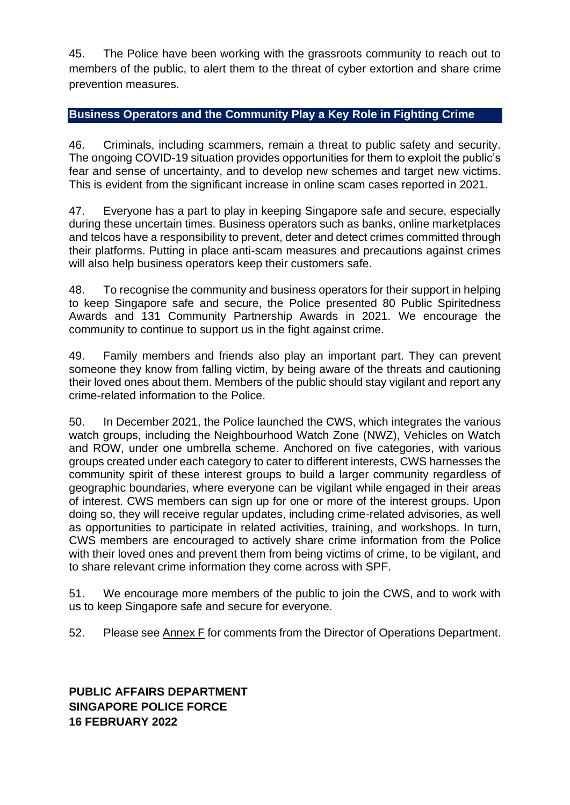45. The Police have been working with the grassroots community to reach out to members of the public, to alert them to the threat of cyber extortion and share crime prevention measures.

## **Business Operators and the Community Play a Key Role in Fighting Crime**

46. Criminals, including scammers, remain a threat to public safety and security. The ongoing COVID-19 situation provides opportunities for them to exploit the public's fear and sense of uncertainty, and to develop new schemes and target new victims. This is evident from the significant increase in online scam cases reported in 2021.

47. Everyone has a part to play in keeping Singapore safe and secure, especially during these uncertain times. Business operators such as banks, online marketplaces and telcos have a responsibility to prevent, deter and detect crimes committed through their platforms. Putting in place anti-scam measures and precautions against crimes will also help business operators keep their customers safe.

48. To recognise the community and business operators for their support in helping to keep Singapore safe and secure, the Police presented 80 Public Spiritedness Awards and 131 Community Partnership Awards in 2021. We encourage the community to continue to support us in the fight against crime.

49. Family members and friends also play an important part. They can prevent someone they know from falling victim, by being aware of the threats and cautioning their loved ones about them. Members of the public should stay vigilant and report any crime-related information to the Police.

50. In December 2021, the Police launched the CWS, which integrates the various watch groups, including the Neighbourhood Watch Zone (NWZ), Vehicles on Watch and ROW, under one umbrella scheme. Anchored on five categories, with various groups created under each category to cater to different interests, CWS harnesses the community spirit of these interest groups to build a larger community regardless of geographic boundaries, where everyone can be vigilant while engaged in their areas of interest. CWS members can sign up for one or more of the interest groups. Upon doing so, they will receive regular updates, including crime-related advisories, as well as opportunities to participate in related activities, training, and workshops. In turn, CWS members are encouraged to actively share crime information from the Police with their loved ones and prevent them from being victims of crime, to be vigilant, and to share relevant crime information they come across with SPF.

51. We encourage more members of the public to join the CWS, and to work with us to keep Singapore safe and secure for everyone.

52. Please see Annex F for comments from the Director of Operations Department.

**PUBLIC AFFAIRS DEPARTMENT SINGAPORE POLICE FORCE 16 FEBRUARY 2022**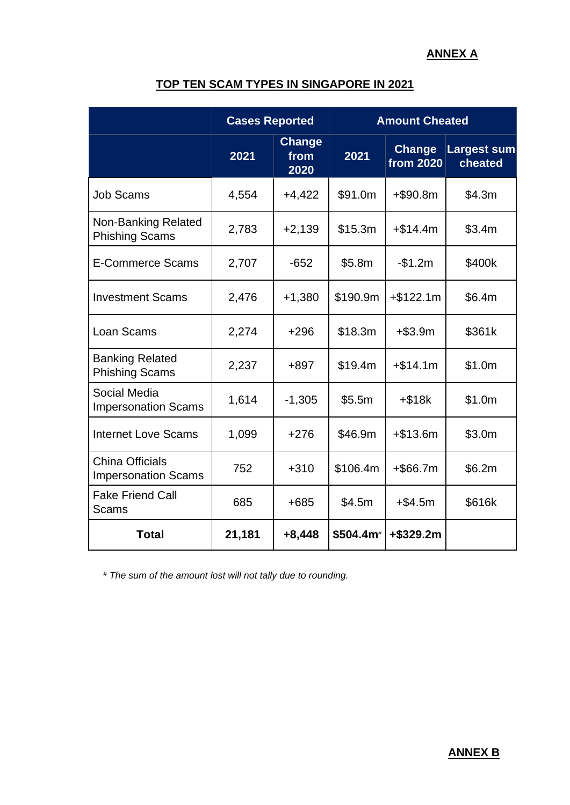#### **ANNEX A**

## **TOP TEN SCAM TYPES IN SINGAPORE IN 2021**

|                                                      | <b>Cases Reported</b> |                               | <b>Amount Cheated</b> |                                   |                               |
|------------------------------------------------------|-----------------------|-------------------------------|-----------------------|-----------------------------------|-------------------------------|
|                                                      | 2021                  | <b>Change</b><br>from<br>2020 | 2021                  | <b>Change</b><br><b>from 2020</b> | <b>Largest sum</b><br>cheated |
| <b>Job Scams</b>                                     | 4,554                 | $+4,422$                      | \$91.0m               | $+$ \$90.8m                       | \$4.3m                        |
| <b>Non-Banking Related</b><br><b>Phishing Scams</b>  | 2,783                 | $+2,139$                      | \$15.3m               | $+ $14.4m$                        | \$3.4m                        |
| <b>E-Commerce Scams</b>                              | 2,707                 | $-652$                        | \$5.8m                | $-$1.2m$                          | \$400k                        |
| <b>Investment Scams</b>                              | 2,476                 | $+1,380$                      | \$190.9m              | $+ $122.1m$                       | \$6.4m                        |
| Loan Scams                                           | 2,274                 | $+296$                        | \$18.3m               | $+ $3.9m$                         | \$361k                        |
| <b>Banking Related</b><br><b>Phishing Scams</b>      | 2,237                 | +897                          | \$19.4m               | $+ $14.1m$                        | \$1.0m                        |
| Social Media<br><b>Impersonation Scams</b>           | 1,614                 | $-1,305$                      | \$5.5m                | $+ $18k$                          | \$1.0m                        |
| <b>Internet Love Scams</b>                           | 1,099                 | $+276$                        | \$46.9m               | $+ $13.6m$                        | \$3.0m                        |
| <b>China Officials</b><br><b>Impersonation Scams</b> | 752                   | $+310$                        | \$106.4m              | $+$ \$66.7m                       | \$6.2m                        |
| <b>Fake Friend Call</b><br><b>Scams</b>              | 685                   | $+685$                        | \$4.5m                | $+ $4.5m$                         | \$616k                        |
| <b>Total</b>                                         | 21,181                | $+8,448$                      | \$504.4m <sup>#</sup> | +\$329.2m                         |                               |

*# The sum of the amount lost will not tally due to rounding.*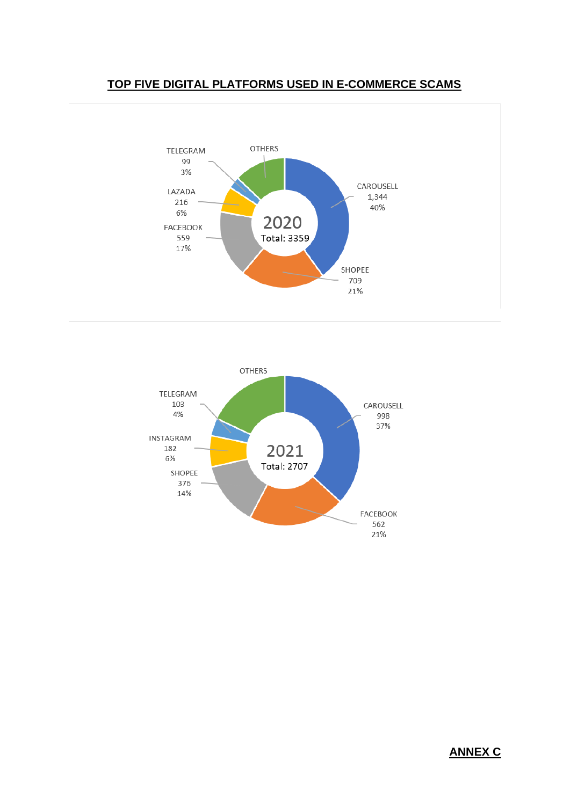





#### **ANNEX C**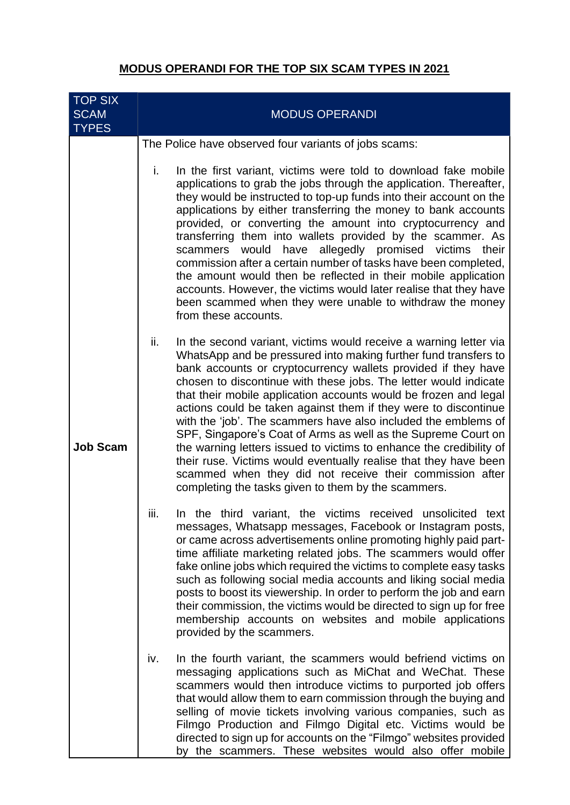## **MODUS OPERANDI FOR THE TOP SIX SCAM TYPES IN 2021**

| <b>TOP SIX</b><br><b>SCAM</b><br><b>TYPES</b> | <b>MODUS OPERANDI</b>                                                                                                                                                                                                                                                                                                                                                                                                                                                                                                                                                                                                                                                                                                                                                                                                    |
|-----------------------------------------------|--------------------------------------------------------------------------------------------------------------------------------------------------------------------------------------------------------------------------------------------------------------------------------------------------------------------------------------------------------------------------------------------------------------------------------------------------------------------------------------------------------------------------------------------------------------------------------------------------------------------------------------------------------------------------------------------------------------------------------------------------------------------------------------------------------------------------|
|                                               | The Police have observed four variants of jobs scams:                                                                                                                                                                                                                                                                                                                                                                                                                                                                                                                                                                                                                                                                                                                                                                    |
| <b>Job Scam</b>                               | i.<br>In the first variant, victims were told to download fake mobile<br>applications to grab the jobs through the application. Thereafter,<br>they would be instructed to top-up funds into their account on the<br>applications by either transferring the money to bank accounts<br>provided, or converting the amount into cryptocurrency and<br>transferring them into wallets provided by the scammer. As<br>allegedly promised victims<br>would<br>have<br>scammers<br>their<br>commission after a certain number of tasks have been completed,<br>the amount would then be reflected in their mobile application<br>accounts. However, the victims would later realise that they have<br>been scammed when they were unable to withdraw the money<br>from these accounts.                                        |
|                                               | In the second variant, victims would receive a warning letter via<br>ii.<br>WhatsApp and be pressured into making further fund transfers to<br>bank accounts or cryptocurrency wallets provided if they have<br>chosen to discontinue with these jobs. The letter would indicate<br>that their mobile application accounts would be frozen and legal<br>actions could be taken against them if they were to discontinue<br>with the 'job'. The scammers have also included the emblems of<br>SPF, Singapore's Coat of Arms as well as the Supreme Court on<br>the warning letters issued to victims to enhance the credibility of<br>their ruse. Victims would eventually realise that they have been<br>scammed when they did not receive their commission after<br>completing the tasks given to them by the scammers. |
|                                               | In the third variant, the victims received unsolicited text<br>iii.<br>messages, Whatsapp messages, Facebook or Instagram posts,<br>or came across advertisements online promoting highly paid part-<br>time affiliate marketing related jobs. The scammers would offer<br>fake online jobs which required the victims to complete easy tasks<br>such as following social media accounts and liking social media<br>posts to boost its viewership. In order to perform the job and earn<br>their commission, the victims would be directed to sign up for free<br>membership accounts on websites and mobile applications<br>provided by the scammers.                                                                                                                                                                   |
|                                               | In the fourth variant, the scammers would befriend victims on<br>iv.<br>messaging applications such as MiChat and WeChat. These<br>scammers would then introduce victims to purported job offers<br>that would allow them to earn commission through the buying and<br>selling of movie tickets involving various companies, such as<br>Filmgo Production and Filmgo Digital etc. Victims would be<br>directed to sign up for accounts on the "Filmgo" websites provided<br>by the scammers. These websites would also offer mobile                                                                                                                                                                                                                                                                                      |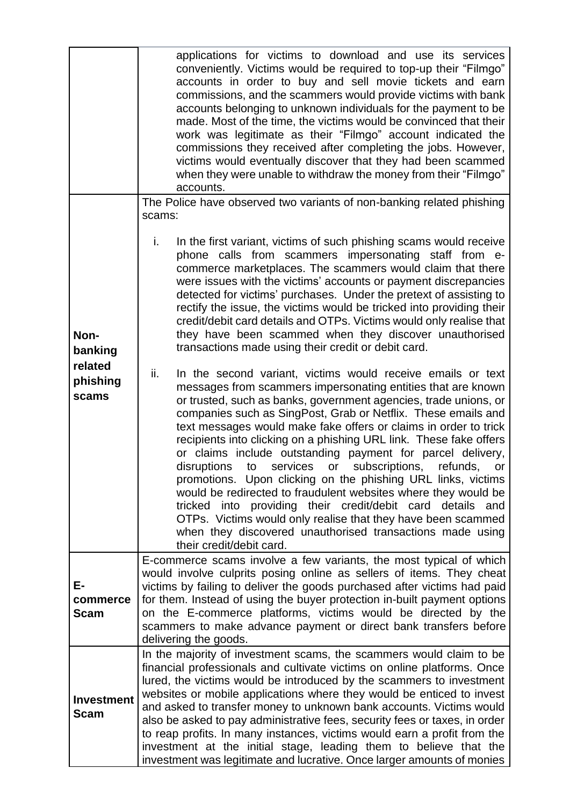|                                                 | applications for victims to download and use its services<br>conveniently. Victims would be required to top-up their "Filmgo"<br>accounts in order to buy and sell movie tickets and earn<br>commissions, and the scammers would provide victims with bank<br>accounts belonging to unknown individuals for the payment to be<br>made. Most of the time, the victims would be convinced that their<br>work was legitimate as their "Filmgo" account indicated the<br>commissions they received after completing the jobs. However,<br>victims would eventually discover that they had been scammed<br>when they were unable to withdraw the money from their "Filmgo"<br>accounts.                                                                                                                                                                                                                                                                                                                                                                                                                                                                                                                                                                                                                                                                                                                                                                                                                                        |  |
|-------------------------------------------------|---------------------------------------------------------------------------------------------------------------------------------------------------------------------------------------------------------------------------------------------------------------------------------------------------------------------------------------------------------------------------------------------------------------------------------------------------------------------------------------------------------------------------------------------------------------------------------------------------------------------------------------------------------------------------------------------------------------------------------------------------------------------------------------------------------------------------------------------------------------------------------------------------------------------------------------------------------------------------------------------------------------------------------------------------------------------------------------------------------------------------------------------------------------------------------------------------------------------------------------------------------------------------------------------------------------------------------------------------------------------------------------------------------------------------------------------------------------------------------------------------------------------------|--|
|                                                 | The Police have observed two variants of non-banking related phishing<br>scams:                                                                                                                                                                                                                                                                                                                                                                                                                                                                                                                                                                                                                                                                                                                                                                                                                                                                                                                                                                                                                                                                                                                                                                                                                                                                                                                                                                                                                                           |  |
| Non-<br>banking<br>related<br>phishing<br>scams | In the first variant, victims of such phishing scams would receive<br>i.<br>phone calls from scammers impersonating staff from e-<br>commerce marketplaces. The scammers would claim that there<br>were issues with the victims' accounts or payment discrepancies<br>detected for victims' purchases. Under the pretext of assisting to<br>rectify the issue, the victims would be tricked into providing their<br>credit/debit card details and OTPs. Victims would only realise that<br>they have been scammed when they discover unauthorised<br>transactions made using their credit or debit card.<br>ii.<br>In the second variant, victims would receive emails or text<br>messages from scammers impersonating entities that are known<br>or trusted, such as banks, government agencies, trade unions, or<br>companies such as SingPost, Grab or Netflix. These emails and<br>text messages would make fake offers or claims in order to trick<br>recipients into clicking on a phishing URL link. These fake offers<br>or claims include outstanding payment for parcel delivery,<br>services<br>or subscriptions, refunds,<br>disruptions<br>to<br>or<br>promotions. Upon clicking on the phishing URL links, victims<br>would be redirected to fraudulent websites where they would be<br>tricked into providing their credit/debit card details and<br>OTPs. Victims would only realise that they have been scammed<br>when they discovered unauthorised transactions made using<br>their credit/debit card. |  |
| Е-<br>commerce<br><b>Scam</b>                   | E-commerce scams involve a few variants, the most typical of which<br>would involve culprits posing online as sellers of items. They cheat<br>victims by failing to deliver the goods purchased after victims had paid<br>for them. Instead of using the buyer protection in-built payment options<br>on the E-commerce platforms, victims would be directed by the<br>scammers to make advance payment or direct bank transfers before<br>delivering the goods.                                                                                                                                                                                                                                                                                                                                                                                                                                                                                                                                                                                                                                                                                                                                                                                                                                                                                                                                                                                                                                                          |  |
| <b>Investment</b><br><b>Scam</b>                | In the majority of investment scams, the scammers would claim to be<br>financial professionals and cultivate victims on online platforms. Once<br>lured, the victims would be introduced by the scammers to investment<br>websites or mobile applications where they would be enticed to invest<br>and asked to transfer money to unknown bank accounts. Victims would<br>also be asked to pay administrative fees, security fees or taxes, in order<br>to reap profits. In many instances, victims would earn a profit from the<br>investment at the initial stage, leading them to believe that the<br>investment was legitimate and lucrative. Once larger amounts of monies                                                                                                                                                                                                                                                                                                                                                                                                                                                                                                                                                                                                                                                                                                                                                                                                                                           |  |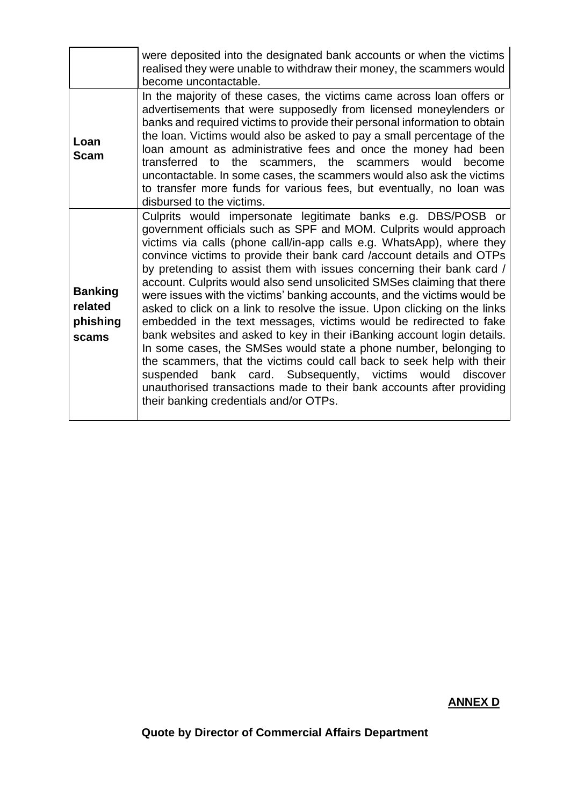|                                                | were deposited into the designated bank accounts or when the victims<br>realised they were unable to withdraw their money, the scammers would<br>become uncontactable.                                                                                                                                                                                                                                                                                                                                                                                                                                                                                                                                                                                                                                                                                                                                                                                                                                                                                                              |
|------------------------------------------------|-------------------------------------------------------------------------------------------------------------------------------------------------------------------------------------------------------------------------------------------------------------------------------------------------------------------------------------------------------------------------------------------------------------------------------------------------------------------------------------------------------------------------------------------------------------------------------------------------------------------------------------------------------------------------------------------------------------------------------------------------------------------------------------------------------------------------------------------------------------------------------------------------------------------------------------------------------------------------------------------------------------------------------------------------------------------------------------|
| Loan<br>Scam                                   | In the majority of these cases, the victims came across loan offers or<br>advertisements that were supposedly from licensed moneylenders or<br>banks and required victims to provide their personal information to obtain<br>the loan. Victims would also be asked to pay a small percentage of the<br>loan amount as administrative fees and once the money had been<br>the scammers, the scammers would become<br>transferred to<br>uncontactable. In some cases, the scammers would also ask the victims<br>to transfer more funds for various fees, but eventually, no loan was<br>disbursed to the victims.                                                                                                                                                                                                                                                                                                                                                                                                                                                                    |
| <b>Banking</b><br>related<br>phishing<br>scams | Culprits would impersonate legitimate banks e.g. DBS/POSB or<br>government officials such as SPF and MOM. Culprits would approach<br>victims via calls (phone call/in-app calls e.g. WhatsApp), where they<br>convince victims to provide their bank card /account details and OTPs<br>by pretending to assist them with issues concerning their bank card /<br>account. Culprits would also send unsolicited SMSes claiming that there<br>were issues with the victims' banking accounts, and the victims would be<br>asked to click on a link to resolve the issue. Upon clicking on the links<br>embedded in the text messages, victims would be redirected to fake<br>bank websites and asked to key in their iBanking account login details.<br>In some cases, the SMSes would state a phone number, belonging to<br>the scammers, that the victims could call back to seek help with their<br>suspended bank card. Subsequently, victims would<br>discover<br>unauthorised transactions made to their bank accounts after providing<br>their banking credentials and/or OTPs. |

# **ANNEX D**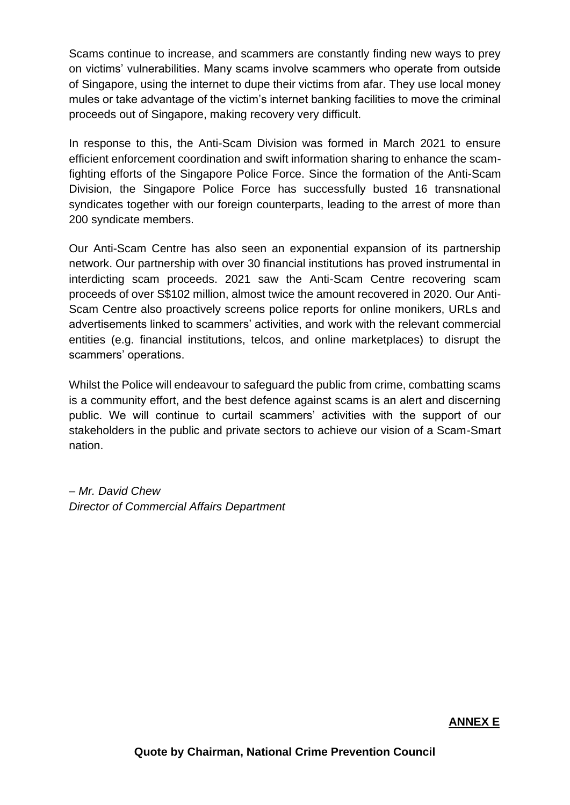Scams continue to increase, and scammers are constantly finding new ways to prey on victims' vulnerabilities. Many scams involve scammers who operate from outside of Singapore, using the internet to dupe their victims from afar. They use local money mules or take advantage of the victim's internet banking facilities to move the criminal proceeds out of Singapore, making recovery very difficult.

In response to this, the Anti-Scam Division was formed in March 2021 to ensure efficient enforcement coordination and swift information sharing to enhance the scamfighting efforts of the Singapore Police Force. Since the formation of the Anti-Scam Division, the Singapore Police Force has successfully busted 16 transnational syndicates together with our foreign counterparts, leading to the arrest of more than 200 syndicate members.

Our Anti-Scam Centre has also seen an exponential expansion of its partnership network. Our partnership with over 30 financial institutions has proved instrumental in interdicting scam proceeds. 2021 saw the Anti-Scam Centre recovering scam proceeds of over S\$102 million, almost twice the amount recovered in 2020. Our Anti-Scam Centre also proactively screens police reports for online monikers, URLs and advertisements linked to scammers' activities, and work with the relevant commercial entities (e.g. financial institutions, telcos, and online marketplaces) to disrupt the scammers' operations.

Whilst the Police will endeavour to safeguard the public from crime, combatting scams is a community effort, and the best defence against scams is an alert and discerning public. We will continue to curtail scammers' activities with the support of our stakeholders in the public and private sectors to achieve our vision of a Scam-Smart nation.

*– Mr. David Chew Director of Commercial Affairs Department*

#### **ANNEX E**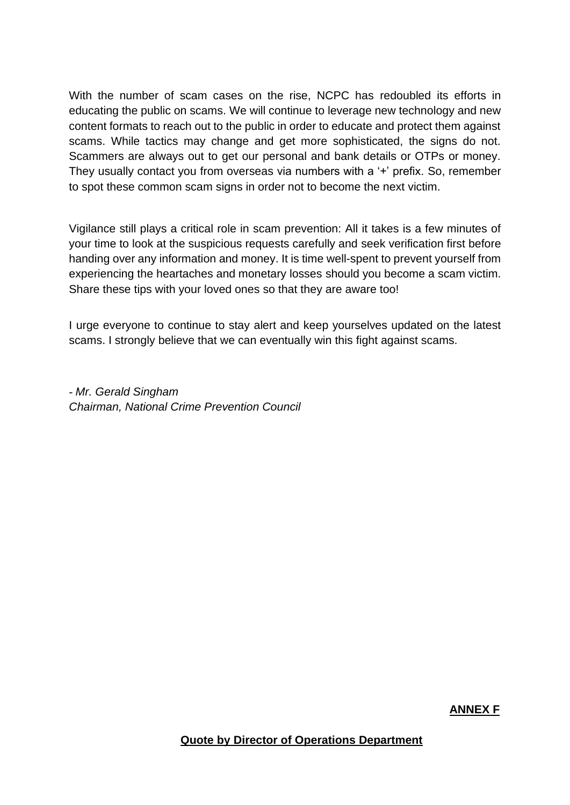With the number of scam cases on the rise, NCPC has redoubled its efforts in educating the public on scams. We will continue to leverage new technology and new content formats to reach out to the public in order to educate and protect them against scams. While tactics may change and get more sophisticated, the signs do not. Scammers are always out to get our personal and bank details or OTPs or money. They usually contact you from overseas via numbers with a '+' prefix. So, remember to spot these common scam signs in order not to become the next victim.

Vigilance still plays a critical role in scam prevention: All it takes is a few minutes of your time to look at the suspicious requests carefully and seek verification first before handing over any information and money. It is time well-spent to prevent yourself from experiencing the heartaches and monetary losses should you become a scam victim. Share these tips with your loved ones so that they are aware too!

I urge everyone to continue to stay alert and keep yourselves updated on the latest scams. I strongly believe that we can eventually win this fight against scams.

*- Mr. Gerald Singham Chairman, National Crime Prevention Council*

**ANNEX F**